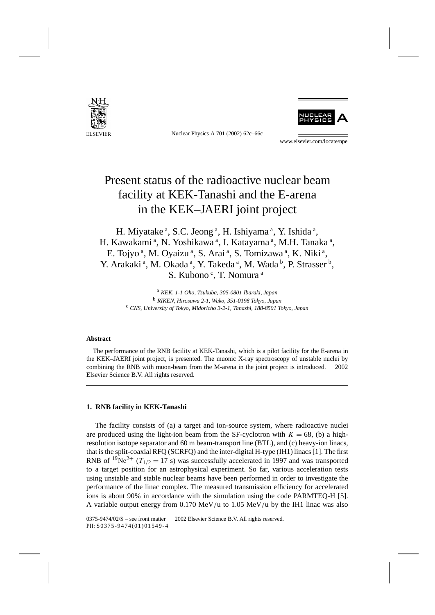

Nuclear Physics A 701 (2002) 62c–66c



www.elsevier.com/locate/npe

# Present status of the radioactive nuclear beam facility at KEK-Tanashi and the E-arena in the KEK–JAERI joint project

H. Miyatake<sup>a</sup>, S.C. Jeong<sup>a</sup>, H. Ishiyama<sup>a</sup>, Y. Ishida<sup>a</sup>, H. Kawakami<sup>a</sup>, N. Yoshikawa<sup>a</sup>, I. Katayama<sup>a</sup>, M.H. Tanaka<sup>a</sup>, E. Tojyo<sup>a</sup>, M. Oyaizu<sup>a</sup>, S. Arai<sup>a</sup>, S. Tomizawa<sup>a</sup>, K. Niki<sup>a</sup>, Y. Arakaki<sup>a</sup>, M. Okada<sup>a</sup>, Y. Takeda<sup>a</sup>, M. Wada<sup>b</sup>, P. Strasser<sup>b</sup>, S. Kubono<sup>c</sup>, T. Nomura<sup>a</sup>

> <sup>a</sup> *KEK, 1-1 Oho, Tsukuba, 305-0801 Ibaraki, Japan* <sup>b</sup> *RIKEN, Hirosawa 2-1, Wako, 351-0198 Tokyo, Japan* <sup>c</sup> *CNS, University of Tokyo, Midoricho 3-2-1, Tanashi, 188-8501 Tokyo, Japan*

## **Abstract**

The performance of the RNB facility at KEK-Tanashi, which is a pilot facility for the E-arena in the KEK–JAERI joint project, is presented. The muonic X-ray spectroscopy of unstable nuclei by combining the RNB with muon-beam from the M-arena in the joint project is introduced.  $\odot$  2002 Elsevier Science B.V. All rights reserved.

# **1. RNB facility in KEK-Tanashi**

The facility consists of (a) a target and ion-source system, where radioactive nuclei are produced using the light-ion beam from the SF-cyclotron with  $K = 68$ , (b) a highresolution isotope separator and 60 m beam-transport line (BTL), and (c) heavy-ion linacs, that is the split-coaxial RFQ (SCRFQ) and the inter-digital H-type (IH1) linacs [1]. The first RNB of <sup>19</sup>Ne<sup>2+</sup> ( $T_{1/2}$  = 17 s) was successfully accelerated in 1997 and was transported to a target position for an astrophysical experiment. So far, various acceleration tests using unstable and stable nuclear beams have been performed in order to investigate the performance of the linac complex. The measured transmission efficiency for accelerated ions is about 90% in accordance with the simulation using the code PARMTEQ-H [5]. A variable output energy from 0.170 MeV*/*u to 1.05 MeV*/*u by the IH1 linac was also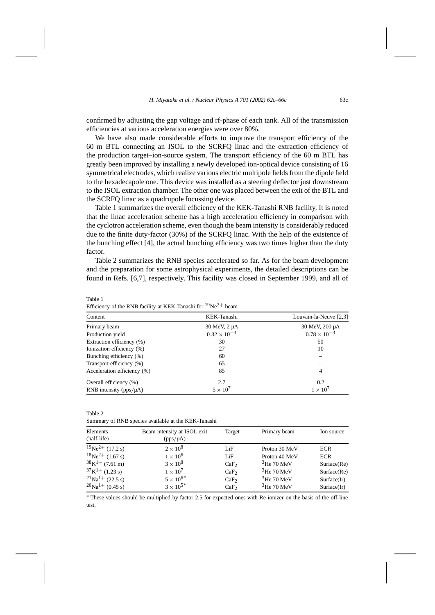confirmed by adjusting the gap voltage and rf-phase of each tank. All of the transmission efficiencies at various acceleration energies were over 80%.

We have also made considerable efforts to improve the transport efficiency of the 60 m BTL connecting an ISOL to the SCRFQ linac and the extraction efficiency of the production target–ion-source system. The transport efficiency of the 60 m BTL has greatly been improved by installing a newly developed ion-optical device consisting of 16 symmetrical electrodes, which realize various electric multipole fields from the dipole field to the hexadecapole one. This device was installed as a steering deflector just downstream to the ISOL extraction chamber. The other one was placed between the exit of the BTL and the SCRFQ linac as a quadrupole focussing device.

Table 1 summarizes the overall efficiency of the KEK-Tanashi RNB facility. It is noted that the linac acceleration scheme has a high acceleration efficiency in comparison with the cyclotron acceleration scheme, even though the beam intensity is considerably reduced due to the finite duty-factor (30%) of the SCRFQ linac. With the help of the existence of the bunching effect [4], the actual bunching efficiency was two times higher than the duty factor.

Table 2 summarizes the RNB species accelerated so far. As for the beam development and the preparation for some astrophysical experiments, the detailed descriptions can be found in Refs. [6,7], respectively. This facility was closed in September 1999, and all of

| Content                       | KEK-Tanashi           | Louvain-la-Neuve [2,3] |  |
|-------------------------------|-----------------------|------------------------|--|
| Primary beam                  | $30$ MeV, $2 \mu$ A   | 30 MeV, 200 µA         |  |
| Production yield              | $0.32 \times 10^{-3}$ | $0.78 \times 10^{-3}$  |  |
| Extraction efficiency (%)     | 30                    | 50                     |  |
| Ionization efficiency (%)     | 27                    | 10                     |  |
| Bunching efficiency (%)       | 60                    |                        |  |
| Transport efficiency (%)      | 65                    |                        |  |
| Acceleration efficiency (%)   | 85                    | 4                      |  |
| Overall efficiency (%)        | 2.7                   | 0.2                    |  |
| RNB intensity ( $pps/\mu A$ ) | $5 \times 10^7$       | $1 \times 10^7$        |  |

Efficiency of the RNB facility at KEK-Tanashi for  $19Ne^{2+}$  beam

Table 1

Table 2 Summary of RNB species available at the KEK-Tanashi

| Elements                          | Beam intensity at ISOL exit | Target           | Primary beam  | Ion source  |
|-----------------------------------|-----------------------------|------------------|---------------|-------------|
| (half-life)                       | $(pps/\mu A)$               |                  |               |             |
| $19Ne^{2+}$ (17.2 s)              | $2 \times 10^8$             | LiF              | Proton 30 MeV | <b>ECR</b>  |
| $18\text{Ne}^{2+}$ (1.67 s)       | $1 \times 10^6$             | LiF              | Proton 40 MeV | <b>ECR</b>  |
| $38K^{1+}$ (7.61 m)               | $3 \times 10^8$             | CaF <sub>2</sub> | $3$ He 70 MeV | Surface(Re) |
| $37K^{1+}$ (1.23 s)               | $1 \times 10^7$             | CaF <sub>2</sub> | $3$ He 70 MeV | Surface(Re) |
| $^{21}$ Na <sup>1+</sup> (22.5 s) | $5 \times 10^{6*}$          | CaF <sub>2</sub> | $3$ He 70 MeV | Surface(Ir) |
| $^{20}$ Na <sup>1+</sup> (0.45 s) | $3 \times 10^{5*}$          | CaF <sub>2</sub> | $3$ He 70 MeV | Surface(Ir) |

∗ These values should be multiplied by factor 2.5 for expected ones with Re-ionizer on the basis of the off-line test.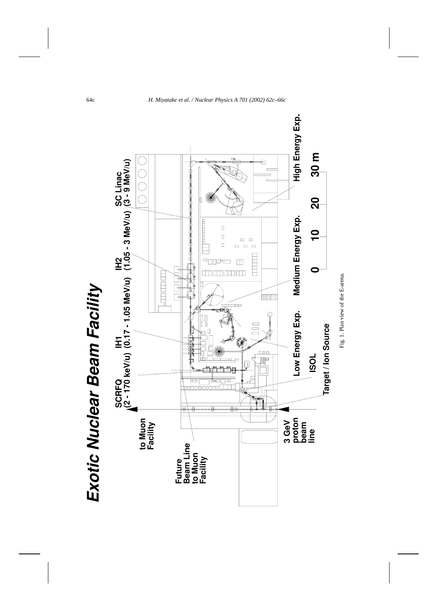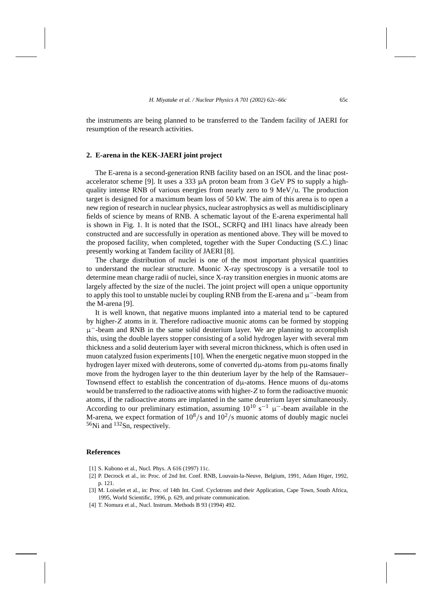the instruments are being planned to be transferred to the Tandem facility of JAERI for resumption of the research activities.

#### **2. E-arena in the KEK-JAERI joint project**

The E-arena is a second-generation RNB facility based on an ISOL and the linac postaccelerator scheme [9]. It uses a 333 µA proton beam from 3 GeV PS to supply a highquality intense RNB of various energies from nearly zero to 9 MeV*/*u. The production target is designed for a maximum beam loss of 50 kW. The aim of this arena is to open a new region of research in nuclear physics, nuclear astrophysics as well as multidisciplinary fields of science by means of RNB. A schematic layout of the E-arena experimental hall is shown in Fig. 1. It is noted that the ISOL, SCRFQ and IH1 linacs have already been constructed and are successfully in operation as mentioned above. They will be moved to the proposed facility, when completed, together with the Super Conducting (S.C.) linac presently working at Tandem facility of JAERI [8].

The charge distribution of nuclei is one of the most important physical quantities to understand the nuclear structure. Muonic X-ray spectroscopy is a versatile tool to determine mean charge radii of nuclei, since X-ray transition energies in muonic atoms are largely affected by the size of the nuclei. The joint project will open a unique opportunity to apply this tool to unstable nuclei by coupling RNB from the E-arena and  $\mu^-$ -beam from the M-arena [9].

It is well known, that negative muons implanted into a material tend to be captured by higher-*Z* atoms in it. Therefore radioactive muonic atoms can be formed by stopping  $\mu^-$ -beam and RNB in the same solid deuterium layer. We are planning to accomplish this, using the double layers stopper consisting of a solid hydrogen layer with several mm thickness and a solid deuterium layer with several micron thickness, which is often used in muon catalyzed fusion experiments [10]. When the energetic negative muon stopped in the hydrogen layer mixed with deuterons, some of converted dµ-atoms from pµ-atoms finally move from the hydrogen layer to the thin deuterium layer by the help of the Ramsauer– Townsend effect to establish the concentration of  $d\mu$ -atoms. Hence muons of  $d\mu$ -atoms would be transferred to the radioactive atoms with higher-*Z* to form the radioactive muonic atoms, if the radioactive atoms are implanted in the same deuterium layer simultaneously. According to our preliminary estimation, assuming  $10^{10}$  s<sup>-1</sup>  $\mu$ <sup>-</sup>-beam available in the M-arena, we expect formation of  $10^8$ /s and  $10^2$ /s muonic atoms of doubly magic nuclei  $56$ Ni and  $132$ Sn, respectively.

## **References**

- [1] S. Kubono et al., Nucl. Phys. A 616 (1997) 11c.
- [2] P. Decrock et al., in: Proc. of 2nd Int. Conf. RNB, Louvain-la-Neuve, Belgium, 1991, Adam Higer, 1992, p. 121.
- [3] M. Loiselet et al., in: Proc. of 14th Int. Conf. Cyclotrons and their Application, Cape Town, South Africa, 1995, World Scientific, 1996, p. 629, and private communication.
- [4] T. Nomura et al., Nucl. Instrum. Methods B 93 (1994) 492.